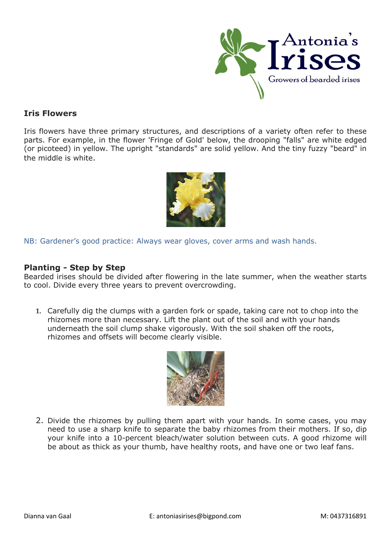

## **Iris Flowers**

Iris flowers have three primary structures, and descriptions of a variety often refer to these parts. For example, in the flower 'Fringe of Gold' below, the drooping "falls" are white edged (or picoteed) in yellow. The upright "standards" are solid yellow. And the tiny fuzzy "beard" in the middle is white.



NB: Gardener's good practice: Always wear gloves, cover arms and wash hands.

## **Planting - Step by Step**

Bearded irises should be divided after flowering in the late summer, when the weather starts to cool. Divide every three years to prevent overcrowding.

**1.** Carefully dig the clumps with a garden fork or spade, taking care not to chop into the rhizomes more than necessary. Lift the plant out of the soil and with your hands underneath the soil clump shake vigorously. With the soil shaken off the roots, rhizomes and offsets will become clearly visible.



2. Divide the rhizomes by pulling them apart with your hands. In some cases, you may need to use a sharp knife to separate the baby rhizomes from their mothers. If so, dip your knife into a 10-percent bleach/water solution between cuts. A good rhizome will be about as thick as your thumb, have healthy roots, and have one or two leaf fans.